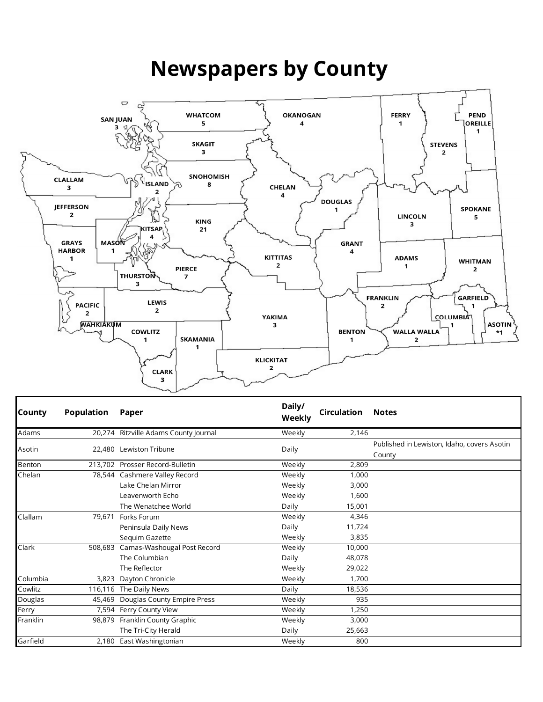## **Newspapers by County**



| <b>County</b> | <b>Population</b> | Paper                                 | Daily/<br>Weekly | <b>Circulation</b> | <b>Notes</b>                                |
|---------------|-------------------|---------------------------------------|------------------|--------------------|---------------------------------------------|
| Adams         |                   | 20,274 Ritzville Adams County Journal | Weekly           | 2,146              |                                             |
| Asotin        |                   | 22.480 Lewiston Tribune               | Daily            |                    | Published in Lewiston, Idaho, covers Asotin |
|               |                   |                                       |                  |                    | County                                      |
| Benton        |                   | 213,702 Prosser Record-Bulletin       | Weekly           | 2,809              |                                             |
| Chelan        |                   | 78,544 Cashmere Valley Record         | Weekly           | 1,000              |                                             |
|               |                   | Lake Chelan Mirror                    | Weekly           | 3,000              |                                             |
|               |                   | Leavenworth Echo                      | Weekly           | 1,600              |                                             |
|               |                   | The Wenatchee World                   | Daily            | 15,001             |                                             |
| Clallam       | 79,671            | Forks Forum                           | Weekly           | 4,346              |                                             |
|               |                   | Peninsula Daily News                  | Daily            | 11,724             |                                             |
|               |                   | Sequim Gazette                        | Weekly           | 3,835              |                                             |
| Clark         |                   | 508,683 Camas-Washougal Post Record   | Weekly           | 10,000             |                                             |
|               |                   | The Columbian                         | Daily            | 48,078             |                                             |
|               |                   | The Reflector                         | Weekly           | 29,022             |                                             |
| Columbia      | 3.823             | Dayton Chronicle                      | Weekly           | 1,700              |                                             |
| Cowlitz       |                   | 116,116 The Daily News                | Daily            | 18,536             |                                             |
| Douglas       | 45,469            | Douglas County Empire Press           | Weekly           | 935                |                                             |
| Ferry         |                   | 7,594 Ferry County View               | Weekly           | 1,250              |                                             |
| Franklin      |                   | 98,879 Franklin County Graphic        | Weekly           | 3,000              |                                             |
|               |                   | The Tri-City Herald                   | Daily            | 25,663             |                                             |
| Garfield      |                   | 2,180 East Washingtonian              | Weekly           | 800                |                                             |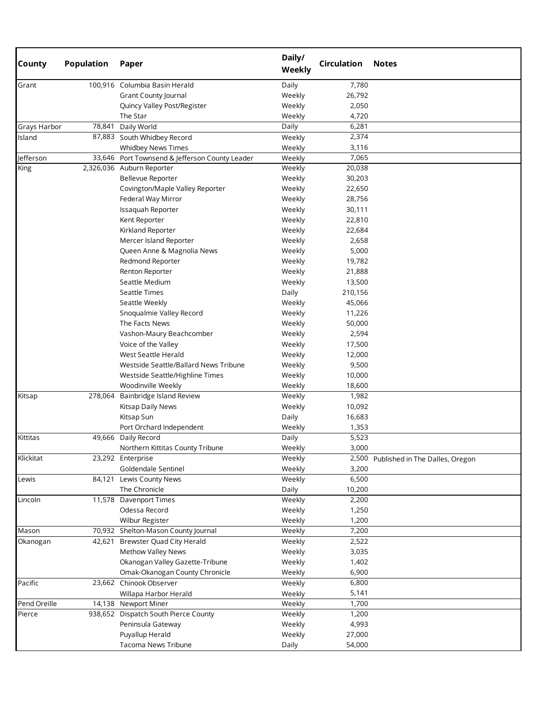| <b>County</b> | <b>Population</b> | Paper                                          | Daily/<br>Weekly | <b>Circulation</b> | <b>Notes</b>                          |
|---------------|-------------------|------------------------------------------------|------------------|--------------------|---------------------------------------|
| Grant         |                   | 100,916 Columbia Basin Herald                  | Daily            | 7,780              |                                       |
|               |                   | Grant County Journal                           | Weekly           | 26,792             |                                       |
|               |                   | Quincy Valley Post/Register                    | Weekly           | 2,050              |                                       |
|               |                   | The Star                                       | Weekly           | 4,720              |                                       |
| Grays Harbor  | 78,841            | Daily World                                    | Daily            | 6,281              |                                       |
| Island        |                   | 87,883 South Whidbey Record                    | Weekly           | 2,374              |                                       |
|               |                   | Whidbey News Times                             | Weekly           | 3,116              |                                       |
| Jefferson     |                   | 33,646 Port Townsend & Jefferson County Leader | Weekly           | 7,065              |                                       |
| King          |                   | 2,326,036 Auburn Reporter                      | Weekly           | 20,038             |                                       |
|               |                   | Bellevue Reporter                              | Weekly           | 30,203             |                                       |
|               |                   | Covington/Maple Valley Reporter                | Weekly           | 22,650             |                                       |
|               |                   | Federal Way Mirror                             | Weekly           | 28,756             |                                       |
|               |                   | Issaquah Reporter                              | Weekly           | 30,111             |                                       |
|               |                   | Kent Reporter                                  | Weekly           | 22,810             |                                       |
|               |                   | Kirkland Reporter                              | Weekly           | 22,684             |                                       |
|               |                   | Mercer Island Reporter                         | Weekly           | 2,658              |                                       |
|               |                   | Queen Anne & Magnolia News                     | Weekly           | 5,000              |                                       |
|               |                   | Redmond Reporter                               | Weekly           | 19,782             |                                       |
|               |                   | Renton Reporter                                | Weekly           | 21,888             |                                       |
|               |                   | Seattle Medium                                 | Weekly           | 13,500             |                                       |
|               |                   | Seattle Times                                  | Daily            | 210,156            |                                       |
|               |                   | Seattle Weekly                                 | Weekly           | 45,066             |                                       |
|               |                   | Snoqualmie Valley Record                       | Weekly           | 11,226             |                                       |
|               |                   | The Facts News                                 | Weekly           | 50,000             |                                       |
|               |                   | Vashon-Maury Beachcomber                       | Weekly           | 2,594              |                                       |
|               |                   | Voice of the Valley                            | Weekly           | 17,500             |                                       |
|               |                   | West Seattle Herald                            | Weekly           | 12,000             |                                       |
|               |                   | Westside Seattle/Ballard News Tribune          | Weekly           | 9,500              |                                       |
|               |                   | Westside Seattle/Highline Times                | Weekly           | 10,000             |                                       |
|               |                   | Woodinville Weekly                             | Weekly           |                    |                                       |
| Kitsap        |                   | 278,064 Bainbridge Island Review               | Weekly           | 18,600<br>1,982    |                                       |
|               |                   |                                                |                  |                    |                                       |
|               |                   | Kitsap Daily News                              | Weekly           | 10,092             |                                       |
|               |                   | Kitsap Sun                                     | Daily            | 16,683             |                                       |
|               |                   | Port Orchard Independent                       | Weekly           | 1,353              |                                       |
| Kittitas      |                   | 49,666 Daily Record                            | Daily            | 5,523              |                                       |
|               |                   | Northern Kittitas County Tribune               | Weekly           | 3,000              |                                       |
| Klickitat     |                   | 23,292 Enterprise                              | Weekly           |                    | 2,500 Published in The Dalles, Oregon |
|               |                   | Goldendale Sentinel                            | Weekly           | 3,200              |                                       |
| Lewis         | 84,121            | Lewis County News                              | Weekly           | 6,500              |                                       |
|               |                   | The Chronicle                                  | Daily            | 10,200             |                                       |
| Lincoln       |                   | 11,578 Davenport Times                         | Weekly           | 2,200              |                                       |
|               |                   | Odessa Record                                  | Weekly           | 1,250              |                                       |
|               |                   | Wilbur Register                                | Weekly           | 1,200              |                                       |
| Mason         |                   | 70,932 Shelton-Mason County Journal            | Weekly           | 7,200              |                                       |
| Okanogan      | 42,621            | Brewster Quad City Herald                      | Weekly           | 2,522              |                                       |
|               |                   | Methow Valley News                             | Weekly           | 3,035              |                                       |
|               |                   | Okanogan Valley Gazette-Tribune                | Weekly           | 1,402              |                                       |
|               |                   | Omak-Okanogan County Chronicle                 | Weekly           | 6,900              |                                       |
| Pacific       |                   | 23,662 Chinook Observer                        | Weekly           | 6,800              |                                       |
|               |                   | Willapa Harbor Herald                          | Weekly           | 5,141              |                                       |
| Pend Oreille  |                   | 14,138 Newport Miner                           | Weekly           | 1,700              |                                       |
| Pierce        |                   | 938,652 Dispatch South Pierce County           | Weekly           | 1,200              |                                       |
|               |                   | Peninsula Gateway                              | Weekly           | 4,993              |                                       |
|               |                   | Puyallup Herald                                | Weekly           | 27,000             |                                       |
|               |                   | Tacoma News Tribune                            | Daily            | 54,000             |                                       |